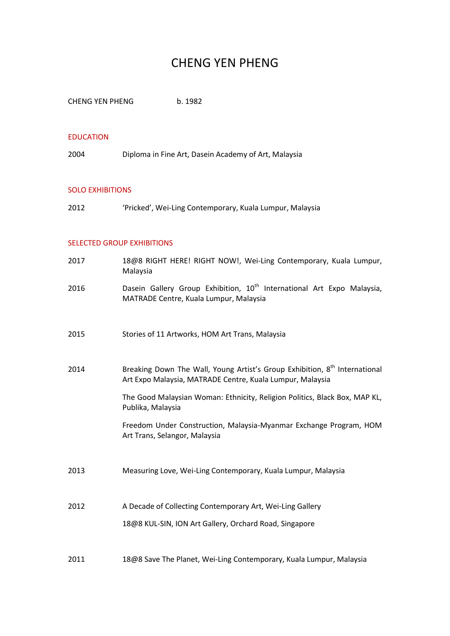# CHENG YEN PHENG

CHENG YEN PHENG b. 1982

#### EDUCATION

2004 Diploma in Fine Art, Dasein Academy of Art, Malaysia

#### SOLO EXHIBITIONS

2012 'Pricked', Wei-Ling Contemporary, Kuala Lumpur, Malaysia

## SELECTED GROUP EXHIBITIONS

| 2017 | 18@8 RIGHT HERE! RIGHT NOW!, Wei-Ling Contemporary, Kuala Lumpur,<br>Malaysia                                                                       |
|------|-----------------------------------------------------------------------------------------------------------------------------------------------------|
| 2016 | Dasein Gallery Group Exhibition, 10 <sup>th</sup> International Art Expo Malaysia,<br>MATRADE Centre, Kuala Lumpur, Malaysia                        |
| 2015 | Stories of 11 Artworks, HOM Art Trans, Malaysia                                                                                                     |
| 2014 | Breaking Down The Wall, Young Artist's Group Exhibition, 8 <sup>th</sup> International<br>Art Expo Malaysia, MATRADE Centre, Kuala Lumpur, Malaysia |
|      | The Good Malaysian Woman: Ethnicity, Religion Politics, Black Box, MAP KL,<br>Publika, Malaysia                                                     |
|      | Freedom Under Construction, Malaysia-Myanmar Exchange Program, HOM<br>Art Trans, Selangor, Malaysia                                                 |
| 2013 | Measuring Love, Wei-Ling Contemporary, Kuala Lumpur, Malaysia                                                                                       |
| 2012 | A Decade of Collecting Contemporary Art, Wei-Ling Gallery                                                                                           |
|      | 18@8 KUL-SIN, ION Art Gallery, Orchard Road, Singapore                                                                                              |
| 2011 | 18@8 Save The Planet, Wei-Ling Contemporary, Kuala Lumpur, Malaysia                                                                                 |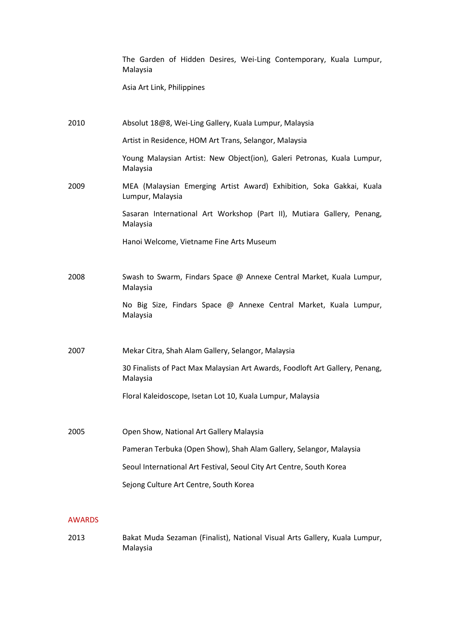The Garden of Hidden Desires, Wei-Ling Contemporary, Kuala Lumpur, Malaysia

Asia Art Link, Philippines

| 2010 | Absolut 18@8, Wei-Ling Gallery, Kuala Lumpur, Malaysia                                   |
|------|------------------------------------------------------------------------------------------|
|      | Artist in Residence, HOM Art Trans, Selangor, Malaysia                                   |
|      | Young Malaysian Artist: New Object(ion), Galeri Petronas, Kuala Lumpur,<br>Malaysia      |
| 2009 | MEA (Malaysian Emerging Artist Award) Exhibition, Soka Gakkai, Kuala<br>Lumpur, Malaysia |
|      | Sasaran International Art Workshop (Part II), Mutiara Gallery, Penang,<br>Malaysia       |
|      | Hanoi Welcome, Vietname Fine Arts Museum                                                 |
|      |                                                                                          |
| 2008 | Swash to Swarm, Findars Space @ Annexe Central Market, Kuala Lumpur,<br>Malaysia         |
|      | No Big Size, Findars Space @ Annexe Central Market, Kuala Lumpur,<br>Malaysia            |
| 2007 | Mekar Citra, Shah Alam Gallery, Selangor, Malaysia                                       |
|      | 30 Finalists of Pact Max Malaysian Art Awards, Foodloft Art Gallery, Penang,<br>Malaysia |
|      | Floral Kaleidoscope, Isetan Lot 10, Kuala Lumpur, Malaysia                               |
|      |                                                                                          |
| 2005 | Open Show, National Art Gallery Malaysia                                                 |
|      | Pameran Terbuka (Open Show), Shah Alam Gallery, Selangor, Malaysia                       |
|      | Seoul International Art Festival, Seoul City Art Centre, South Korea                     |
|      | Sejong Culture Art Centre, South Korea                                                   |
|      |                                                                                          |

#### AWARDS

2013 Bakat Muda Sezaman (Finalist), National Visual Arts Gallery, Kuala Lumpur, Malaysia